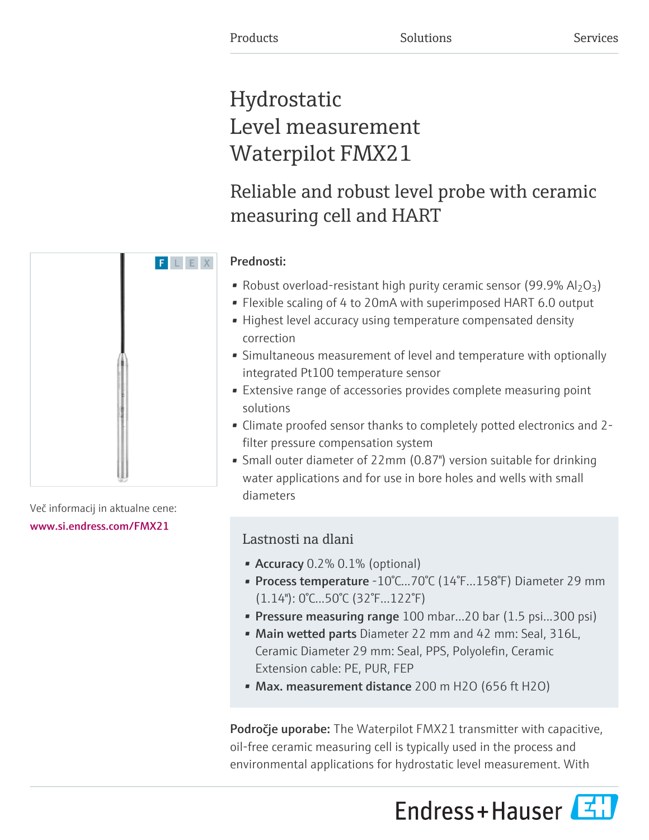# Hydrostatic Level measurement Waterpilot FMX21

# Reliable and robust level probe with ceramic measuring cell and HART



- Robust overload-resistant high purity ceramic sensor (99.9%  $Al_2O_3$ )
- Flexible scaling of 4 to 20mA with superimposed HART 6.0 output
- Highest level accuracy using temperature compensated density correction
- Simultaneous measurement of level and temperature with optionally integrated Pt100 temperature sensor
- Extensive range of accessories provides complete measuring point solutions
- Climate proofed sensor thanks to completely potted electronics and 2 filter pressure compensation system
- Small outer diameter of 22mm (0.87") version suitable for drinking water applications and for use in bore holes and wells with small diameters

# Lastnosti na dlani

- Accuracy  $0.2\%$  0.1% (optional)
- Process temperature -10°C...70°C (14°F...158°F) Diameter 29 mm (1.14"): 0°C...50°C (32°F...122°F)
- Pressure measuring range 100 mbar...20 bar (1.5 psi...300 psi)
- Main wetted parts Diameter 22 mm and 42 mm: Seal, 316L, Ceramic Diameter 29 mm: Seal, PPS, Polyolefin, Ceramic Extension cable: PE, PUR, FEP
- Max. measurement distance 200 m H2O (656 ft H2O)

Področje uporabe: The Waterpilot FMX21 transmitter with capacitive, oil-free ceramic measuring cell is typically used in the process and environmental applications for hydrostatic level measurement. With





Več informacij in aktualne cene: [www.si.endress.com/FMX21](https://www.si.endress.com/FMX21)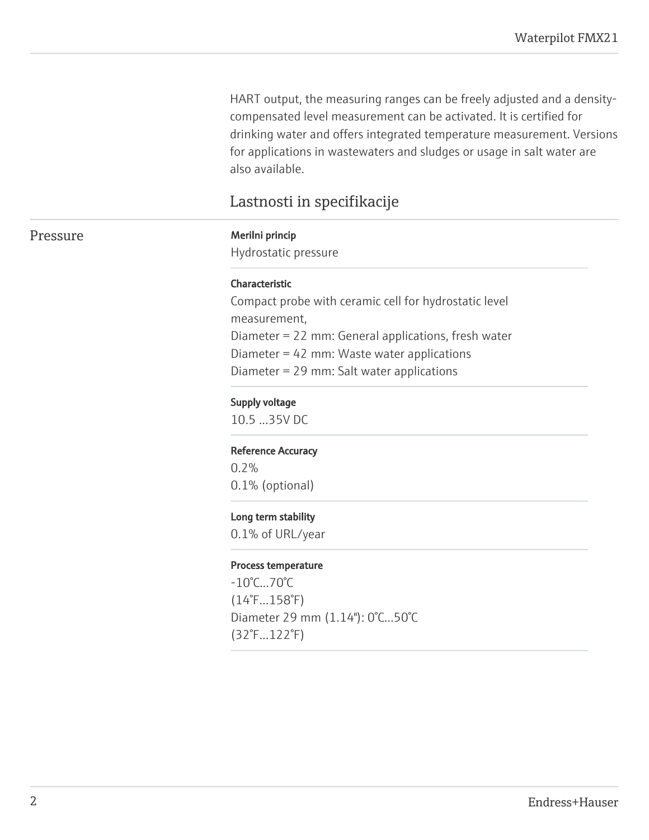HART output, the measuring ranges can be freely adjusted and a densitycompensated level measurement can be activated. It is certified for drinking water and offers integrated temperature measurement. Versions for applications in wastewaters and sludges or usage in salt water are also available.

# Lastnosti in specifikacije

# Pressure Merilni princip

Hydrostatic pressure

# Characteristic

Compact probe with ceramic cell for hydrostatic level measurement, Diameter = 22 mm: General applications, fresh water Diameter = 42 mm: Waste water applications Diameter = 29 mm: Salt water applications

# Supply voltage

10.5 ...35V DC

### Reference Accuracy

 $0.2\%$ 0.1% (optional)

### Long term stability

0.1% of URL/year

### Process temperature

-10°C...70°C (14°F...158°F) Diameter 29 mm (1.14"): 0°C...50°C (32°F...122°F)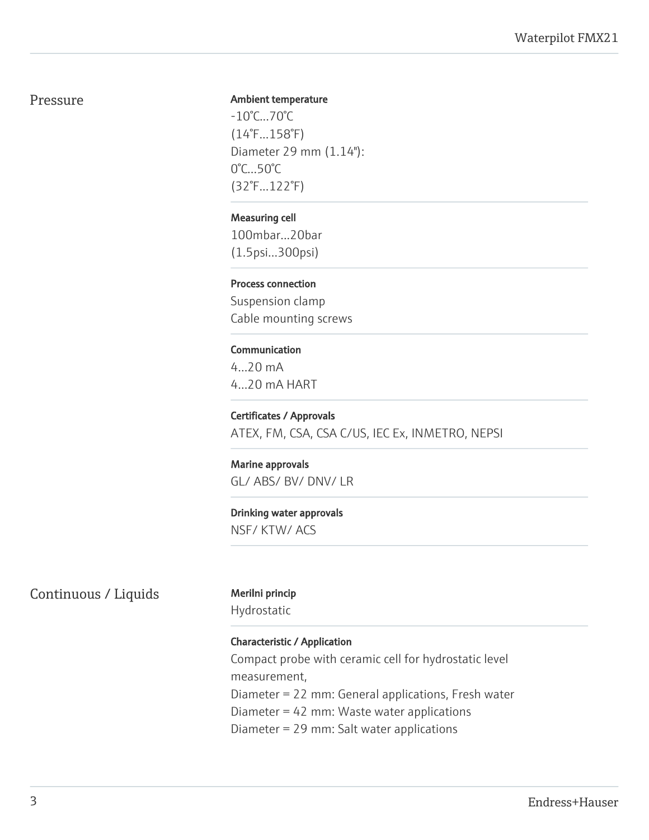# Pressure

### Ambient temperature

-10°C...70°C (14°F...158°F) Diameter 29 mm (1.14"): 0°C...50°C (32°F...122°F)

Measuring cell 100mbar...20bar

(1.5psi...300psi)

Process connection Suspension clamp Cable mounting screws

Communication 4...20 mA 4...20 mA HART

Certificates / Approvals ATEX, FM, CSA, CSA C/US, IEC Ex, INMETRO, NEPSI

Marine approvals GL/ ABS/ BV/ DNV/ LR

Drinking water approvals NSF/ KTW/ ACS

# Continuous / Liquids Merilni princip

Hydrostatic

Characteristic / Application Compact probe with ceramic cell for hydrostatic level measurement, Diameter = 22 mm: General applications, Fresh water Diameter = 42 mm: Waste water applications Diameter = 29 mm: Salt water applications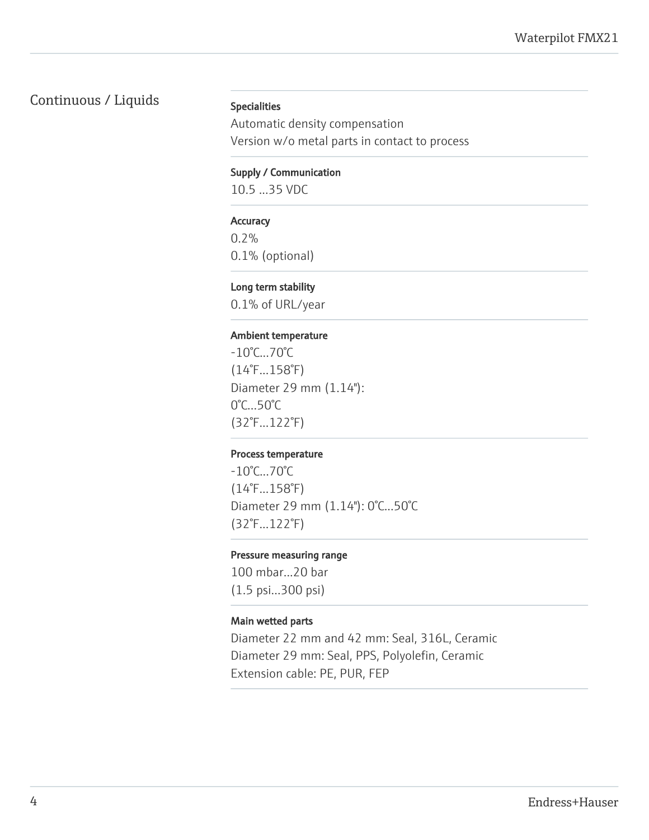# Continuous / Liquids

### Specialities

Automatic density compensation Version w/o metal parts in contact to process

# Supply / Communication

10.5 ...35 VDC

# **Accuracy**

0.2% 0.1% (optional)

# Long term stability

0.1% of URL/year

# Ambient temperature

-10°C...70°C (14°F...158°F) Diameter 29 mm (1.14"): 0°C...50°C (32°F...122°F)

### Process temperature

-10°C...70°C (14°F...158°F) Diameter 29 mm (1.14"): 0°C...50°C (32°F...122°F)

# Pressure measuring range

100 mbar...20 bar (1.5 psi...300 psi)

# Main wetted parts

Diameter 22 mm and 42 mm: Seal, 316L, Ceramic Diameter 29 mm: Seal, PPS, Polyolefin, Ceramic Extension cable: PE, PUR, FEP